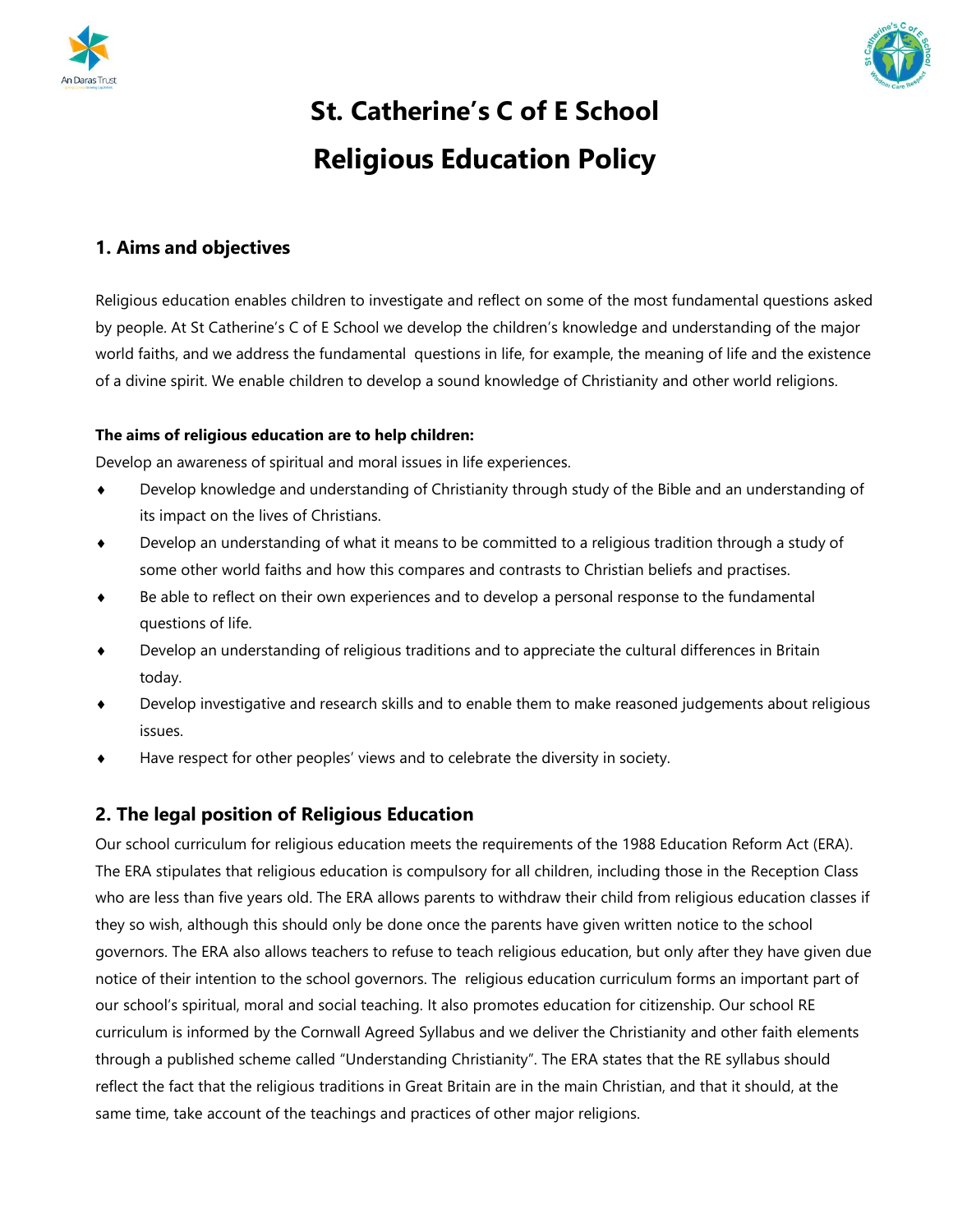



# **St. Catherine's C of E School Religious Education Policy**

# **1. Aims and objectives**

Religious education enables children to investigate and reflect on some of the most fundamental questions asked by people. At St Catherine's C of E School we develop the children's knowledge and understanding of the major world faiths, and we address the fundamental questions in life, for example, the meaning of life and the existence of a divine spirit. We enable children to develop a sound knowledge of Christianity and other world religions.

#### **The aims of religious education are to help children:**

Develop an awareness of spiritual and moral issues in life experiences.

- Develop knowledge and understanding of Christianity through study of the Bible and an understanding of its impact on the lives of Christians.
- Develop an understanding of what it means to be committed to a religious tradition through a study of some other world faiths and how this compares and contrasts to Christian beliefs and practises.
- Be able to reflect on their own experiences and to develop a personal response to the fundamental questions of life.
- Develop an understanding of religious traditions and to appreciate the cultural differences in Britain today.
- Develop investigative and research skills and to enable them to make reasoned judgements about religious issues.
- Have respect for other peoples' views and to celebrate the diversity in society.

## **2. The legal position of Religious Education**

Our school curriculum for religious education meets the requirements of the 1988 Education Reform Act (ERA). The ERA stipulates that religious education is compulsory for all children, including those in the Reception Class who are less than five years old. The ERA allows parents to withdraw their child from religious education classes if they so wish, although this should only be done once the parents have given written notice to the school governors. The ERA also allows teachers to refuse to teach religious education, but only after they have given due notice of their intention to the school governors. The religious education curriculum forms an important part of our school's spiritual, moral and social teaching. It also promotes education for citizenship. Our school RE curriculum is informed by the Cornwall Agreed Syllabus and we deliver the Christianity and other faith elements through a published scheme called "Understanding Christianity". The ERA states that the RE syllabus should reflect the fact that the religious traditions in Great Britain are in the main Christian, and that it should, at the same time, take account of the teachings and practices of other major religions.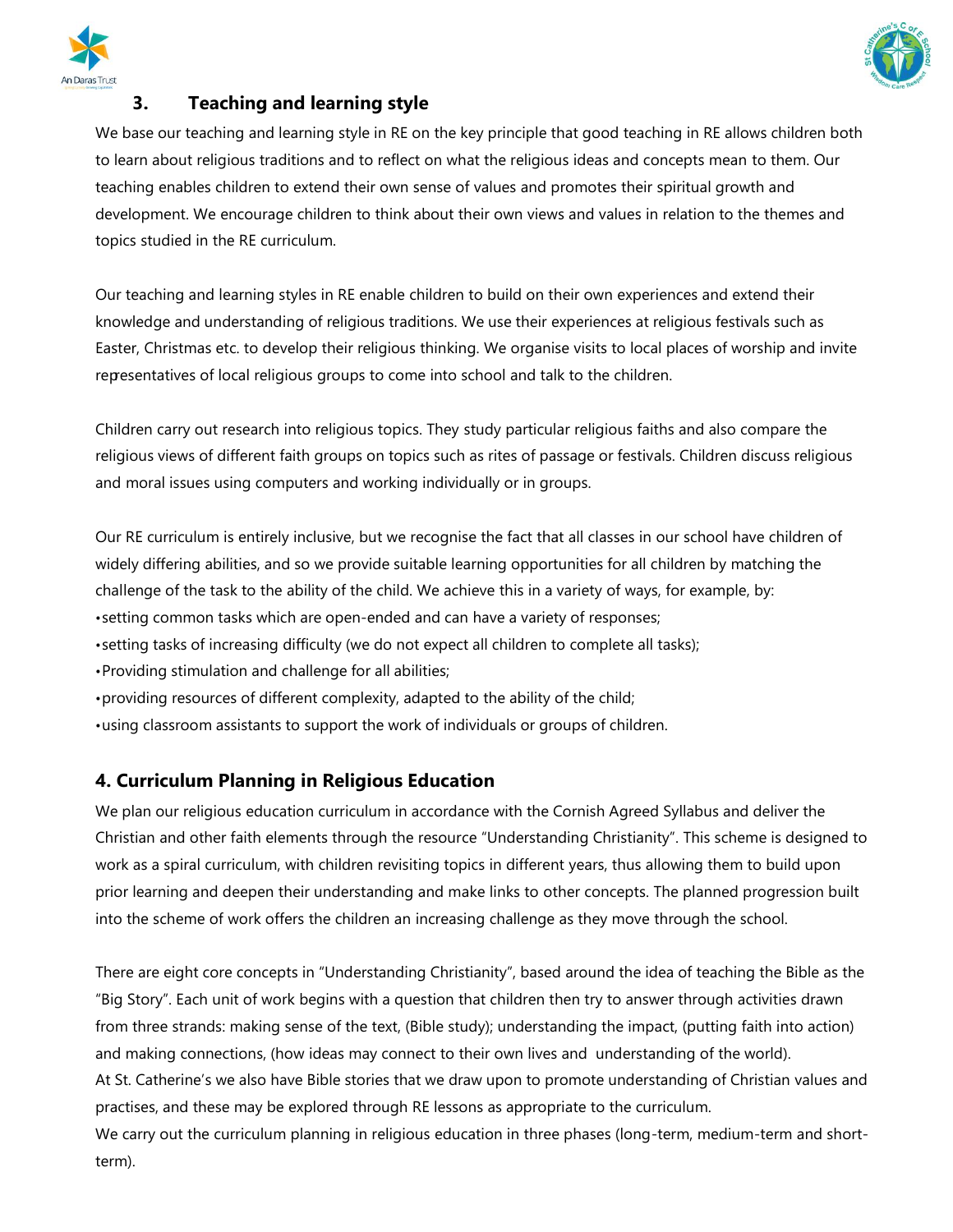



# **3. Teaching and learning style**

We base our teaching and learning style in RE on the key principle that good teaching in RE allows children both to learn about religious traditions and to reflect on what the religious ideas and concepts mean to them. Our teaching enables children to extend their own sense of values and promotes their spiritual growth and development. We encourage children to think about their own views and values in relation to the themes and topics studied in the RE curriculum.

Our teaching and learning styles in RE enable children to build on their own experiences and extend their knowledge and understanding of religious traditions. We use their experiences at religious festivals such as Easter, Christmas etc. to develop their religious thinking. We organise visits to local places of worship and invite representatives of local religious groups to come into school and talk to the children.

Children carry out research into religious topics. They study particular religious faiths and also compare the religious views of different faith groups on topics such as rites of passage or festivals. Children discuss religious and moral issues using computers and working individually or in groups.

Our RE curriculum is entirely inclusive, but we recognise the fact that all classes in our school have children of widely differing abilities, and so we provide suitable learning opportunities for all children by matching the challenge of the task to the ability of the child. We achieve this in a variety of ways, for example, by:

- •setting common tasks which are open-ended and can have a variety of responses;
- •setting tasks of increasing difficulty (we do not expect all children to complete all tasks);
- •Providing stimulation and challenge for all abilities;
- •providing resources of different complexity, adapted to the ability of the child;
- •using classroom assistants to support the work of individuals or groups of children.

## **4. Curriculum Planning in Religious Education**

We plan our religious education curriculum in accordance with the Cornish Agreed Syllabus and deliver the Christian and other faith elements through the resource "Understanding Christianity". This scheme is designed to work as a spiral curriculum, with children revisiting topics in different years, thus allowing them to build upon prior learning and deepen their understanding and make links to other concepts. The planned progression built into the scheme of work offers the children an increasing challenge as they move through the school.

There are eight core concepts in "Understanding Christianity", based around the idea of teaching the Bible as the "Big Story". Each unit of work begins with a question that children then try to answer through activities drawn from three strands: making sense of the text, (Bible study); understanding the impact, (putting faith into action) and making connections, (how ideas may connect to their own lives and understanding of the world). At St. Catherine's we also have Bible stories that we draw upon to promote understanding of Christian values and practises, and these may be explored through RE lessons as appropriate to the curriculum. We carry out the curriculum planning in religious education in three phases (long-term, medium-term and shortterm).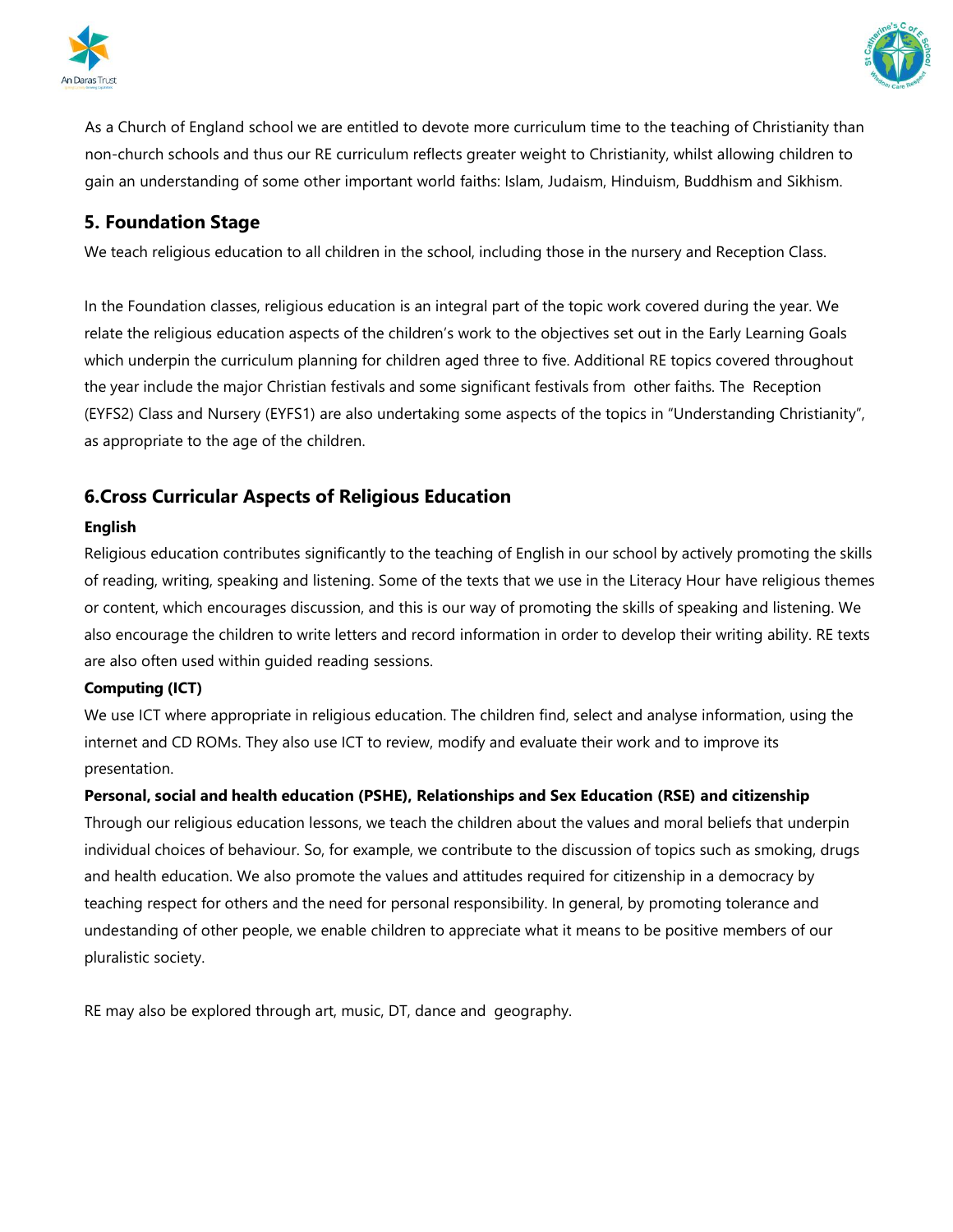



As a Church of England school we are entitled to devote more curriculum time to the teaching of Christianity than non-church schools and thus our RE curriculum reflects greater weight to Christianity, whilst allowing children to gain an understanding of some other important world faiths: Islam, Judaism, Hinduism, Buddhism and Sikhism.

## **5. Foundation Stage**

We teach religious education to all children in the school, including those in the nursery and Reception Class.

In the Foundation classes, religious education is an integral part of the topic work covered during the year. We relate the religious education aspects of the children's work to the objectives set out in the Early Learning Goals which underpin the curriculum planning for children aged three to five. Additional RE topics covered throughout the year include the major Christian festivals and some significant festivals from other faiths. The Reception (EYFS2) Class and Nursery (EYFS1) are also undertaking some aspects of the topics in "Understanding Christianity", as appropriate to the age of the children.

# **6.Cross Curricular Aspects of Religious Education**

#### **English**

Religious education contributes significantly to the teaching of English in our school by actively promoting the skills of reading, writing, speaking and listening. Some of the texts that we use in the Literacy Hour have religious themes or content, which encourages discussion, and this is our way of promoting the skills of speaking and listening. We also encourage the children to write letters and record information in order to develop their writing ability. RE texts are also often used within guided reading sessions.

#### **Computing (ICT)**

We use ICT where appropriate in religious education. The children find, select and analyse information, using the internet and CD ROMs. They also use ICT to review, modify and evaluate their work and to improve its presentation.

#### **Personal, social and health education (PSHE), Relationships and Sex Education (RSE) and citizenship**

Through our religious education lessons, we teach the children about the values and moral beliefs that underpin individual choices of behaviour. So, for example, we contribute to the discussion of topics such as smoking, drugs and health education. We also promote the values and attitudes required for citizenship in a democracy by teaching respect for others and the need for personal responsibility. In general, by promoting tolerance and undestanding of other people, we enable children to appreciate what it means to be positive members of our pluralistic society.

RE may also be explored through art, music, DT, dance and geography.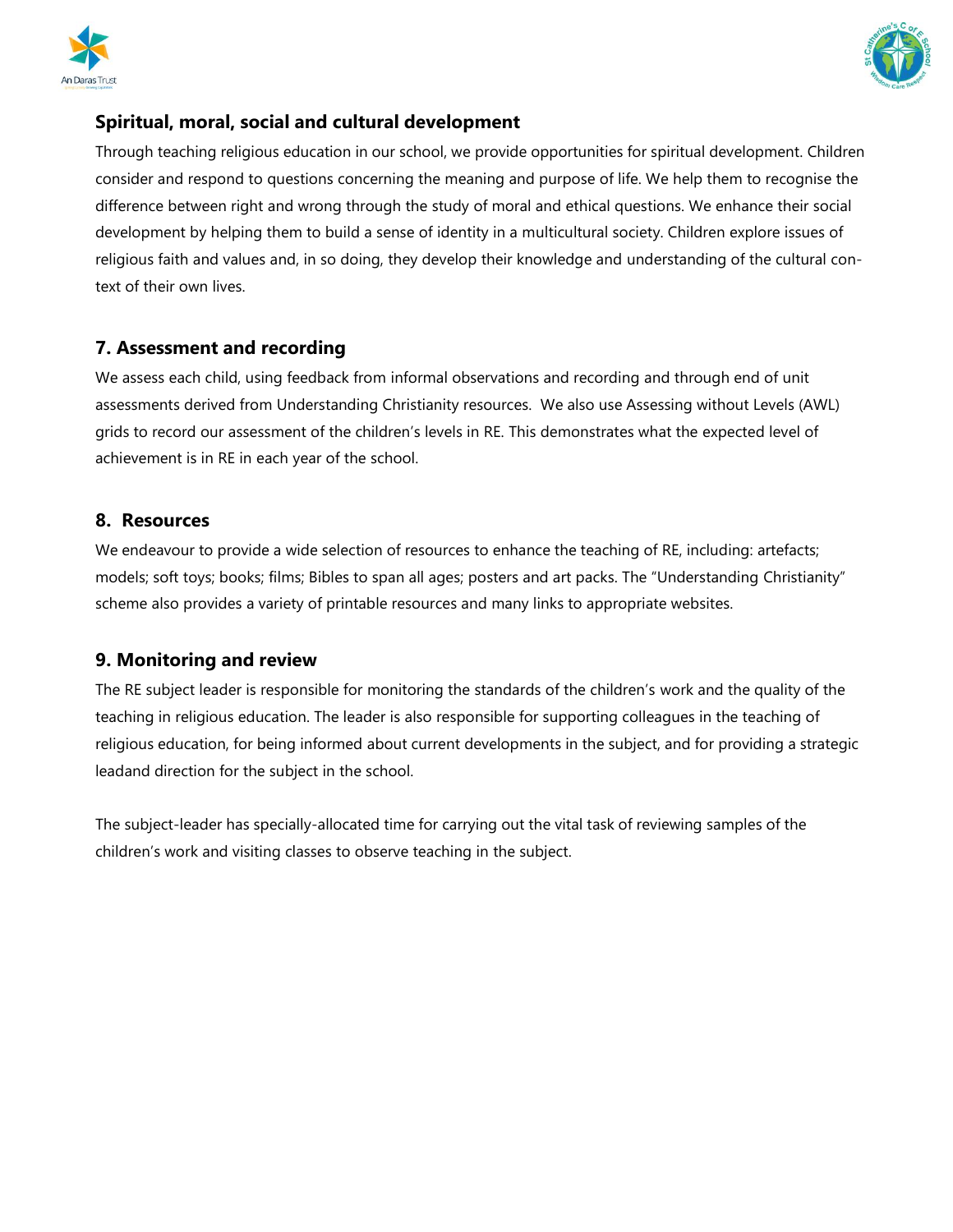



# **Spiritual, moral, social and cultural development**

Through teaching religious education in our school, we provide opportunities for spiritual development. Children consider and respond to questions concerning the meaning and purpose of life. We help them to recognise the difference between right and wrong through the study of moral and ethical questions. We enhance their social development by helping them to build a sense of identity in a multicultural society. Children explore issues of religious faith and values and, in so doing, they develop their knowledge and understanding of the cultural context of their own lives.

# **7. Assessment and recording**

We assess each child, using feedback from informal observations and recording and through end of unit assessments derived from Understanding Christianity resources. We also use Assessing without Levels (AWL) grids to record our assessment of the children's levels in RE. This demonstrates what the expected level of achievement is in RE in each year of the school.

## **8. Resources**

We endeavour to provide a wide selection of resources to enhance the teaching of RE, including: artefacts; models; soft toys; books; films; Bibles to span all ages; posters and art packs. The "Understanding Christianity" scheme also provides a variety of printable resources and many links to appropriate websites.

# **9. Monitoring and review**

The RE subject leader is responsible for monitoring the standards of the children's work and the quality of the teaching in religious education. The leader is also responsible for supporting colleagues in the teaching of religious education, for being informed about current developments in the subject, and for providing a strategic leadand direction for the subject in the school.

The subject-leader has specially-allocated time for carrying out the vital task of reviewing samples of the children's work and visiting classes to observe teaching in the subject.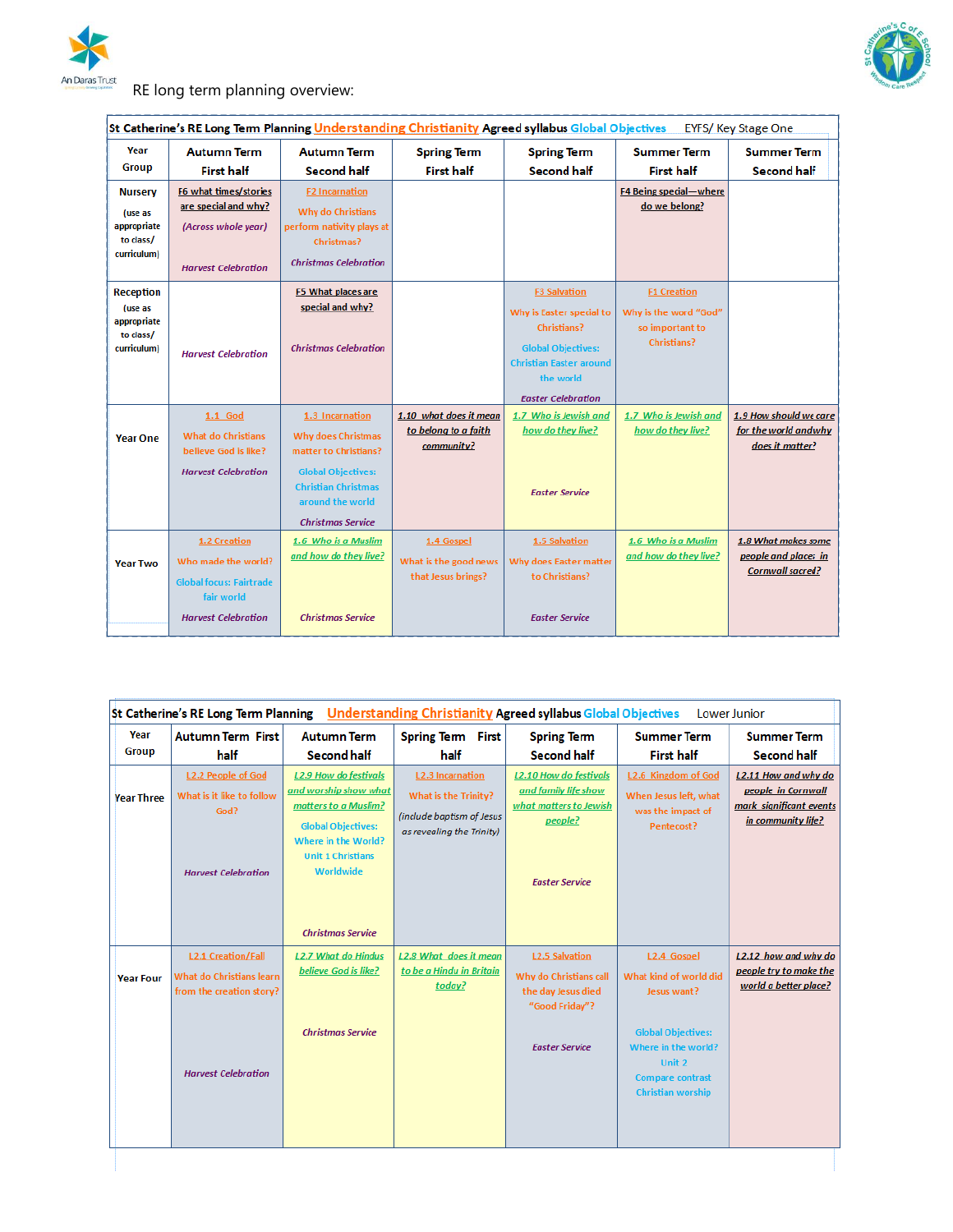



# RE long term planning overview:

| St Catherine's RE Long Term Planning Understanding Christianity Agreed syllabus Global Objectives<br><b>EYFS/ Key Stage One</b> |                                                                                                                   |                                                                                                                                                                           |                                                              |                                                                                                                                                                         |                                                                                      |                                                                        |  |
|---------------------------------------------------------------------------------------------------------------------------------|-------------------------------------------------------------------------------------------------------------------|---------------------------------------------------------------------------------------------------------------------------------------------------------------------------|--------------------------------------------------------------|-------------------------------------------------------------------------------------------------------------------------------------------------------------------------|--------------------------------------------------------------------------------------|------------------------------------------------------------------------|--|
| Year                                                                                                                            | <b>Autumn Term</b>                                                                                                | <b>Autumn Term</b>                                                                                                                                                        | <b>Spring Term</b>                                           | <b>Spring Term</b>                                                                                                                                                      | <b>Summer Term</b>                                                                   | <b>Summer Term</b>                                                     |  |
| <b>Group</b>                                                                                                                    | <b>First half</b>                                                                                                 | <b>Second half</b>                                                                                                                                                        | <b>First half</b>                                            | <b>Second half</b>                                                                                                                                                      | <b>First half</b>                                                                    | <b>Second half</b>                                                     |  |
| <b>Nursery</b><br>(use as<br>appropriate<br>to class/<br>curriculum)                                                            | F6 what times/stories<br>are special and why?<br>(Across whole year)<br><b>Harvest Celebration</b>                | <b>F2 Incarnation</b><br>Why do Christians<br>perform nativity plays at<br>Christmas?<br><b>Christmas Celebration</b>                                                     |                                                              |                                                                                                                                                                         | F4 Being special-where<br>do we belong?                                              |                                                                        |  |
| <b>Reception</b><br>(use as<br>appropriate<br>to class/<br>curriculum)                                                          | <b>Harvest Celebration</b>                                                                                        | F5 What places are<br>special and why?<br><b>Christmas Celebration</b>                                                                                                    |                                                              | <b>F3 Salvation</b><br>Why is Easter special to<br>Christians?<br><b>Global Objectives:</b><br><b>Christian Easter around</b><br>the world<br><b>Easter Celebration</b> | <b>F1 Creation</b><br>Why is the word "God"<br>so important to<br><b>Christians?</b> |                                                                        |  |
| <b>Year One</b>                                                                                                                 | 1.1 God<br><b>What do Christians</b><br>believe God is like?<br><b>Harvest Celebration</b>                        | 1.3 Incarnation<br>Why does Christmas<br>matter to Christians?<br><b>Global Objectives:</b><br><b>Christian Christmas</b><br>around the world<br><b>Christmas Service</b> | 1.10 what does it mean<br>to belong to a faith<br>community? | 1.7 Who is Jewish and<br>how do they live?<br><b>Easter Service</b>                                                                                                     | 1.7 Who is Jewish and<br>how do they live?                                           | 1.9 How should we care<br>for the world and why<br>does it matter?     |  |
| <b>Year Two</b>                                                                                                                 | 1.2 Creation<br>Who made the world?<br><b>Global focus: Fairtrade</b><br>fair world<br><b>Harvest Celebration</b> | 1.6 Who is a Muslim<br>and how do they live?<br><b>Christmas Service</b>                                                                                                  | 1.4 Gospel<br>What is the good news<br>that Jesus brings?    | 1.5 Salvation<br>Why does Easter matter<br>to Christians?<br><b>Easter Service</b>                                                                                      | 1.6 Who is a Muslim<br>and how do they live?                                         | 1.8 What makes some<br>people and places in<br><b>Cornwall sacred?</b> |  |

| St Catherine's RE Long Term Planning Understanding Christianity Agreed syllabus Global Objectives<br>Lower Junior |                                                                                              |                                                                                                                                                                                                        |                                                                                                           |                                                                                                                     |                                                                                      |                                                                                             |  |
|-------------------------------------------------------------------------------------------------------------------|----------------------------------------------------------------------------------------------|--------------------------------------------------------------------------------------------------------------------------------------------------------------------------------------------------------|-----------------------------------------------------------------------------------------------------------|---------------------------------------------------------------------------------------------------------------------|--------------------------------------------------------------------------------------|---------------------------------------------------------------------------------------------|--|
| Year<br><b>Group</b>                                                                                              | <b>Autumn Term First</b>                                                                     | <b>Autumn Term</b>                                                                                                                                                                                     | <b>Spring Term First</b>                                                                                  | <b>Spring Term</b>                                                                                                  | <b>Summer Term</b>                                                                   | <b>Summer Term</b>                                                                          |  |
|                                                                                                                   | half                                                                                         | <b>Second half</b>                                                                                                                                                                                     | half                                                                                                      | <b>Second half</b>                                                                                                  | <b>First half</b>                                                                    | <b>Second half</b>                                                                          |  |
| <b>Year Three</b>                                                                                                 | <b>L2.2 People of God</b><br>What is it like to follow<br>God?<br><b>Harvest Celebration</b> | <b>L2.9 How do festivals</b><br>and worship show what<br>matters to a Muslim?<br><b>Global Objectives:</b><br>Where in the World?<br><b>Unit 1 Christians</b><br>Worldwide<br><b>Christmas Service</b> | <b>L2.3 Incarnation</b><br>What is the Trinity?<br>(include baptism of Jesus<br>as revealing the Trinity) | <b>L2.10 How do festivals</b><br>and family life show<br>what matters to Jewish<br>people?<br><b>Easter Service</b> | L2.6 Kingdom of God<br>When Jesus left, what<br>was the impact of<br>Pentecost?      | L2.11 How and why do<br>people in Cornwall<br>mark significant events<br>in community life? |  |
| <b>Year Four</b>                                                                                                  | <b>L2.1 Creation/Fall</b><br>What do Christians learn<br>from the creation story?            | <b>L2.7 What do Hindus</b><br>believe God is like?<br><b>Christmas Service</b>                                                                                                                         | <b>L2.8 What does it mean</b><br>to be a Hindu in Britain<br>today?                                       | <b>L2.5 Salvation</b><br>Why do Christians call<br>the day Jesus died<br>"Good Friday"?                             | L2.4 Gospel<br>What kind of world did<br>Jesus want?<br><b>Global Objectives:</b>    | L2.12 how and why do<br>people try to make the<br>world a better place?                     |  |
|                                                                                                                   | <b>Harvest Celebration</b>                                                                   |                                                                                                                                                                                                        |                                                                                                           | <b>Easter Service</b>                                                                                               | Where in the world?<br>Unit 2<br><b>Compare contrast</b><br><b>Christian worship</b> |                                                                                             |  |